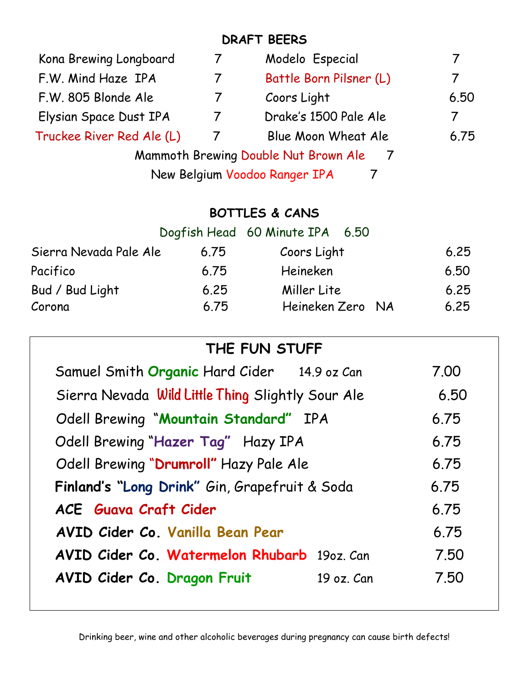# **DRAFT BEERS**

| Kona Brewing Longboard                            | 7                                  | Modelo Especial                        | 7    |  |  |
|---------------------------------------------------|------------------------------------|----------------------------------------|------|--|--|
| F.W. Mind Haze IPA                                | $\overline{7}$                     | Battle Born Pilsner (L)                | 7    |  |  |
| F.W. 805 Blonde Ale                               | $\overline{7}$                     | Coors Light                            | 6.50 |  |  |
| Elysian Space Dust IPA                            | $\overline{7}$                     | Drake's 1500 Pale Ale                  | 7    |  |  |
| Truckee River Red Ale (L)                         | $\overline{7}$                     | Blue Moon Wheat Ale                    | 6.75 |  |  |
|                                                   |                                    | Mammoth Brewing Double Nut Brown Ale 7 |      |  |  |
|                                                   | New Belgium Voodoo Ranger IPA<br>7 |                                        |      |  |  |
|                                                   |                                    |                                        |      |  |  |
| <b>BOTTLES &amp; CANS</b>                         |                                    |                                        |      |  |  |
|                                                   |                                    | Dogfish Head 60 Minute IPA 6.50        |      |  |  |
| Sierra Nevada Pale Ale                            | 6.75                               | Coors Light                            | 6.25 |  |  |
| Pacifico                                          | 6.75                               | Heineken                               | 6.50 |  |  |
| Bud / Bud Light                                   | 6.25                               | Miller Lite<br>Heineken Zero NA        | 6.25 |  |  |
| Corona                                            | 6.75                               |                                        | 6.25 |  |  |
|                                                   |                                    | THE FUN STUFF                          |      |  |  |
| Samuel Smith Organic Hard Cider 14.9 oz Can       |                                    |                                        | 7.00 |  |  |
| Sierra Nevada Wild Little Thing Slightly Sour Ale |                                    |                                        | 6.50 |  |  |
| Odell Brewing "Mountain Standard" IPA             |                                    |                                        | 6.75 |  |  |
| Odell Brewing "Hazer Tag" Hazy IPA                | 6.75                               |                                        |      |  |  |
| Odell Brewing "Drumroll" Hazy Pale Ale            | 6.75                               |                                        |      |  |  |
| Finland's "Long Drink" Gin, Grapefruit & Soda     |                                    |                                        | 6.75 |  |  |
| <b>ACE</b> Guava Craft Cider                      |                                    |                                        | 6.75 |  |  |
| AVID Cider Co. Vanilla Bean Pear                  |                                    |                                        | 6.75 |  |  |
| AVID Cider Co. Watermelon Rhubarb 190z. Can       |                                    |                                        | 7.50 |  |  |
| AVID Cider Co. Dragon Fruit                       |                                    | 19 oz. Can                             | 7.50 |  |  |
|                                                   |                                    |                                        |      |  |  |